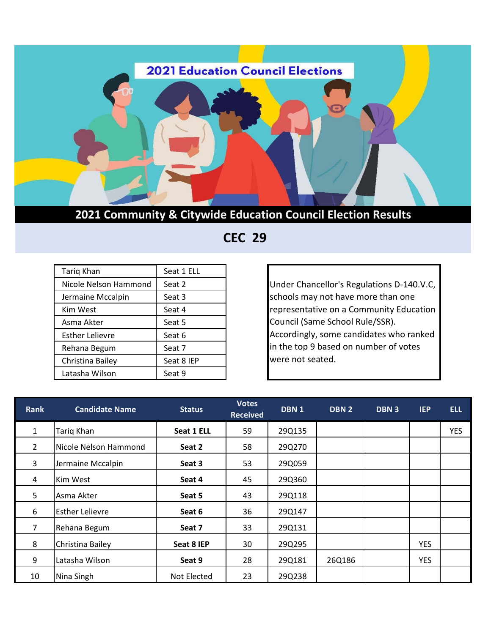

 **CEC 29**

| Tariq Khan            | Seat 1 ELL |
|-----------------------|------------|
| Nicole Nelson Hammond | Seat 2     |
| Jermaine Mccalpin     | Seat 3     |
| Kim West              | Seat 4     |
| Asma Akter            | Seat 5     |
| Esther Lelievre       | Seat 6     |
| Rehana Begum          | Seat 7     |
| Christina Bailey      | Seat 8 IEP |
| Latasha Wilson        | Seat 9     |

Under Chancellor's Regulations D-140.V.C, schools may not have more than one representative on a Community Education Council (Same School Rule/SSR). Accordingly, some candidates who ranked in the top 9 based on number of votes were not seated.

| <b>Rank</b>    | <b>Candidate Name</b>  | <b>Status</b> | <b>Votes</b><br><b>Received</b> | DBN <sub>1</sub> | <b>DBN 2</b> | DBN 3 | <b>IEP</b> | <b>ELL</b> |
|----------------|------------------------|---------------|---------------------------------|------------------|--------------|-------|------------|------------|
| $\mathbf{1}$   | Tariq Khan             | Seat 1 ELL    | 59                              | 29Q135           |              |       |            | <b>YES</b> |
| $\overline{2}$ | Nicole Nelson Hammond  | Seat 2        | 58                              | 29Q270           |              |       |            |            |
| 3              | Jermaine Mccalpin      | Seat 3        | 53                              | 29Q059           |              |       |            |            |
| 4              | Kim West               | Seat 4        | 45                              | 29Q360           |              |       |            |            |
| 5              | Asma Akter             | Seat 5        | 43                              | 29Q118           |              |       |            |            |
| 6              | <b>Esther Lelievre</b> | Seat 6        | 36                              | 29Q147           |              |       |            |            |
| 7              | Rehana Begum           | Seat 7        | 33                              | 29Q131           |              |       |            |            |
| 8              | Christina Bailey       | Seat 8 IEP    | 30                              | 29Q295           |              |       | <b>YES</b> |            |
| 9              | Latasha Wilson         | Seat 9        | 28                              | 29Q181           | 26Q186       |       | <b>YES</b> |            |
| 10             | Nina Singh             | Not Elected   | 23                              | 29Q238           |              |       |            |            |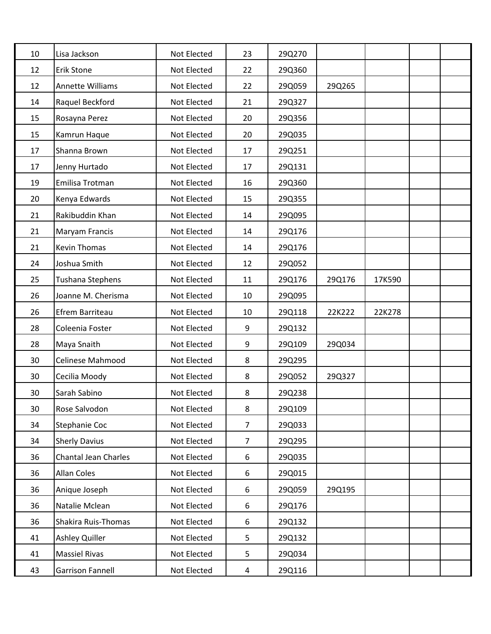| 10 | Lisa Jackson                | Not Elected | 23             | 29Q270 |        |        |  |
|----|-----------------------------|-------------|----------------|--------|--------|--------|--|
| 12 | <b>Erik Stone</b>           | Not Elected | 22             | 29Q360 |        |        |  |
| 12 | Annette Williams            | Not Elected | 22             | 29Q059 | 29Q265 |        |  |
| 14 | Raquel Beckford             | Not Elected | 21             | 29Q327 |        |        |  |
| 15 | Rosayna Perez               | Not Elected | 20             | 29Q356 |        |        |  |
| 15 | Kamrun Haque                | Not Elected | 20             | 29Q035 |        |        |  |
| 17 | Shanna Brown                | Not Elected | 17             | 29Q251 |        |        |  |
| 17 | Jenny Hurtado               | Not Elected | 17             | 29Q131 |        |        |  |
| 19 | Emilisa Trotman             | Not Elected | 16             | 29Q360 |        |        |  |
| 20 | Kenya Edwards               | Not Elected | 15             | 29Q355 |        |        |  |
| 21 | Rakibuddin Khan             | Not Elected | 14             | 29Q095 |        |        |  |
| 21 | Maryam Francis              | Not Elected | 14             | 29Q176 |        |        |  |
| 21 | Kevin Thomas                | Not Elected | 14             | 29Q176 |        |        |  |
| 24 | Joshua Smith                | Not Elected | 12             | 29Q052 |        |        |  |
| 25 | Tushana Stephens            | Not Elected | 11             | 29Q176 | 29Q176 | 17K590 |  |
| 26 | Joanne M. Cherisma          | Not Elected | 10             | 29Q095 |        |        |  |
| 26 | Efrem Barriteau             | Not Elected | 10             | 29Q118 | 22K222 | 22K278 |  |
| 28 | Coleenia Foster             | Not Elected | 9              | 29Q132 |        |        |  |
| 28 | Maya Snaith                 | Not Elected | 9              | 29Q109 | 29Q034 |        |  |
| 30 | Celinese Mahmood            | Not Elected | 8              | 29Q295 |        |        |  |
| 30 | Cecilia Moody               | Not Elected | 8              | 29Q052 | 29Q327 |        |  |
| 30 | Sarah Sabino                | Not Elected | 8              | 29Q238 |        |        |  |
| 30 | Rose Salvodon               | Not Elected | 8              | 29Q109 |        |        |  |
| 34 | Stephanie Coc               | Not Elected | $\overline{7}$ | 29Q033 |        |        |  |
| 34 | <b>Sherly Davius</b>        | Not Elected | $\overline{7}$ | 29Q295 |        |        |  |
| 36 | <b>Chantal Jean Charles</b> | Not Elected | 6              | 29Q035 |        |        |  |
| 36 | Allan Coles                 | Not Elected | 6              | 29Q015 |        |        |  |
| 36 | Anique Joseph               | Not Elected | 6              | 29Q059 | 29Q195 |        |  |
| 36 | Natalie Mclean              | Not Elected | 6              | 29Q176 |        |        |  |
| 36 | Shakira Ruis-Thomas         | Not Elected | 6              | 29Q132 |        |        |  |
| 41 | <b>Ashley Quiller</b>       | Not Elected | 5              | 29Q132 |        |        |  |
| 41 | <b>Massiel Rivas</b>        | Not Elected | 5              | 29Q034 |        |        |  |
| 43 | <b>Garrison Fannell</b>     | Not Elected | 4              | 29Q116 |        |        |  |